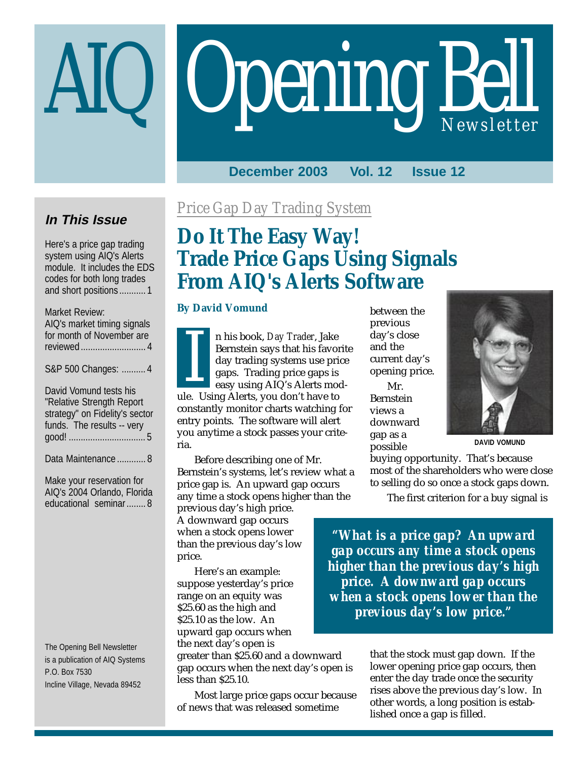# **Opening Bell**

## **December 2003 Vol. 12 Issue 12**

## **In This Issue**

Here's a price gap trading system using AIQ's Alerts module. It includes the EDS codes for both long trades and short positions ........... 1

#### Market Review:

AIQ's market timing signals for month of November are reviewed........................... 4

S&P 500 Changes: .......... 4

David Vomund tests his "Relative Strength Report strategy" on Fidelity's sector funds. The results -- very good! ................................ 5

Data Maintenance ............ 8

Make your reservation for AIQ's 2004 Orlando, Florida educational seminar........ 8

The Opening Bell Newsletter is a publication of AIQ Systems P.O. Box 7530 Incline Village, Nevada 89452

## *Price Gap Day Trading System*

# **Do It The Easy Way! Trade Price Gaps Using Signals From AIQ's Alerts Software**

#### **By David Vomund**

n his book, *Day Trader*, Jake Bernstein says that his favorite day trading systems use price gaps. Trading price gaps is easy using AIQ's Alerts modn nis book, *Day Trader*, Jake<br>Bernstein says that his favor<br>day trading systems use pri<br>gaps. Trading price gaps is<br>easy using AIQ's Alerts mo<br>ule. Using Alerts, you don't have to constantly monitor charts watching for entry points. The software will alert you anytime a stock passes your criteria.

Before describing one of Mr. Bernstein's systems, let's review what a price gap is. An upward gap occurs any time a stock opens higher than the

previous day's high price. A downward gap occurs when a stock opens lower than the previous day's low price.

Here's an example: suppose yesterday's price range on an equity was \$25.60 as the high and \$25.10 as the low. An upward gap occurs when the next day's open is

greater than \$25.60 and a downward gap occurs when the next day's open is less than \$25.10.

Most large price gaps occur because of news that was released sometime

between the previous day's close and the current day's opening price.

Mr. Bernstein views a downward gap as a possible



**DAVID VOMUND**

buying opportunity. That's because most of the shareholders who were close to selling do so once a stock gaps down.

The first criterion for a buy signal is

*"What is a price gap? An upward gap occurs any time a stock opens higher than the previous day's high price. A downward gap occurs when a stock opens lower than the previous day's low price."*

> that the stock must gap down. If the lower opening price gap occurs, then enter the day trade once the security rises above the previous day's low. In other words, a long position is established once a gap is filled.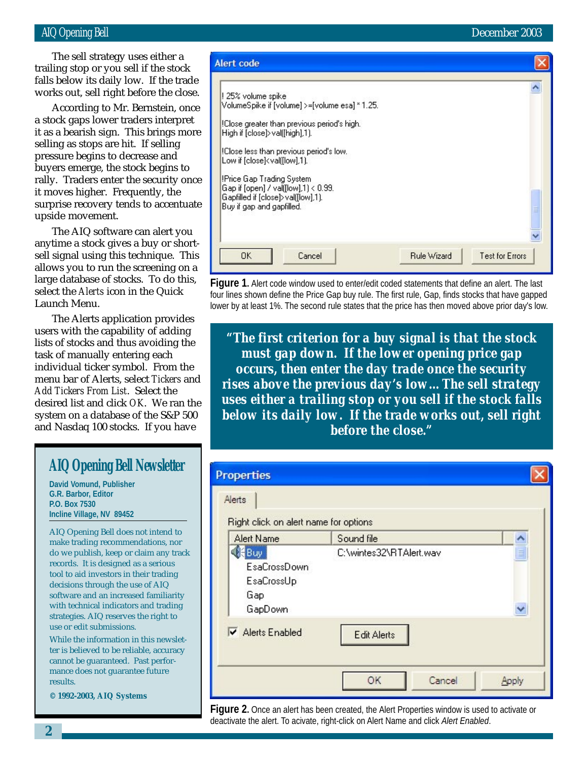#### AIQ Opening Bell December 2003

works out, sell right before the close. The sell strategy uses either a trailing stop or you sell if the stock falls below its daily low. If the trade

According to Mr. Bernstein, once a stock gaps lower traders interpret it as a bearish sign. This brings more selling as stops are hit. If selling pressure begins to decrease and buyers emerge, the stock begins to rally. Traders enter the security once it moves higher. Frequently, the surprise recovery tends to accentuate upside movement.

The AIQ software can alert you anytime a stock gives a buy or shortsell signal using this technique. This allows you to run the screening on a large database of stocks. To do this, select the *Alerts* icon in the Quick Launch Menu.

The Alerts application provides users with the capability of adding lists of stocks and thus avoiding the task of manually entering each individual ticker symbol. From the menu bar of Alerts, select *Tickers* and *Add Tickers From List*. Select the desired list and click *OK*. We ran the system on a database of the S&P 500 and Nasdaq 100 stocks. If you have

## **AIQ Opening Bell Newsletter**

**David Vomund, Publisher G.R. Barbor, Editor P.O. Box 7530 Incline Village, NV 89452**

AIQ Opening Bell does not intend to make trading recommendations, nor do we publish, keep or claim any track records. It is designed as a serious tool to aid investors in their trading decisions through the use of AIQ software and an increased familiarity with technical indicators and trading strategies. AIQ reserves the right to use or edit submissions.

While the information in this newsletter is believed to be reliable, accuracy cannot be guaranteed. Past performance does not guarantee future results.

**© 1992-2003, AIQ Systems**



**Figure 1.** Alert code window used to enter/edit coded statements that define an alert. The last four lines shown define the Price Gap buy rule. The first rule, Gap, finds stocks that have gapped lower by at least 1%. The second rule states that the price has then moved above prior day's low.

*"The first criterion for a buy signal is that the stock must gap down. If the lower opening price gap occurs, then enter the day trade once the security rises above the previous day's low…The sell strategy uses either a trailing stop or you sell if the stock falls below its daily low. If the trade works out, sell right before the close."*

| Right click on alert name for options<br>Alert Name         | Sound file              |  |
|-------------------------------------------------------------|-------------------------|--|
| ∰Buy<br><b>EsaCrossDown</b><br>EsaCrossUp<br>Gap<br>GapDown | C:\wintes32\RTAlert.wav |  |
| Alerts Enabled                                              | <b>Edit Alerts</b>      |  |

**Figure 2.** Once an alert has been created, the Alert Properties window is used to activate or deactivate the alert. To acivate, right-click on Alert Name and click *Alert Enabled*.

**2**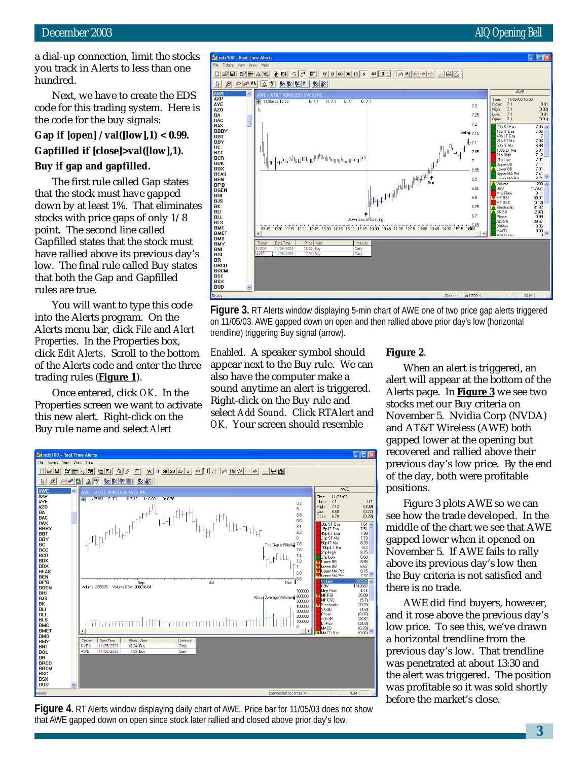a dial-up connection, limit the stocks you track in Alerts to less than one hundred.

Next, we have to create the EDS code for this trading system. Here is the code for the buy signals:

**Gap if [open] / val([low],1) < 0.99. Gapfilled if [close]>val([low],1).**

#### **Buy if gap and gapfilled.**

The first rule called Gap states that the stock must have gapped down by at least 1%. That eliminates stocks with price gaps of only 1/8 point. The second line called Gapfilled states that the stock must have rallied above its previous day's low. The final rule called Buy states that both the Gap and Gapfilled rules are true.

You will want to type this code into the Alerts program. On the Alerts menu bar, click *File* and *Alert Properties*. In the Properties box, click *Edit Alerts*. Scroll to the bottom of the Alerts code and enter the three trading rules (**Figure 1**).

Once entered, click *OK*. In the Properties screen we want to activate this new alert. Right-click on the Buy rule name and select *Alert*



**Figure 3.** RT Alerts window displaying 5-min chart of AWE one of two price gap alerts triggered on 11/05/03. AWE gapped down on open and then rallied above prior day's low (horizontal trendline) triggering Buy signal (arrow).

*Enabled*. A speaker symbol should appear next to the Buy rule. We can also have the computer make a sound anytime an alert is triggered. Right-click on the Buy rule and select *Add Sound*. Click RTAlert and *OK*. Your screen should resemble



**Figure 4.** RT Alerts window displaying daily chart of AWE. Price bar for 11/05/03 does not show that AWE gapped down on open since stock later rallied and closed above prior day's low.

#### **Figure 2**.

When an alert is triggered, an alert will appear at the bottom of the Alerts page. In **Figure 3** we see two stocks met our Buy criteria on November 5. Nvidia Corp (NVDA) and AT&T Wireless (AWE) both gapped lower at the opening but recovered and rallied above their previous day's low price. By the end of the day, both were profitable positions.

Figure 3 plots AWE so we can see how the trade developed. In the middle of the chart we see that AWE gapped lower when it opened on November 5. If AWE fails to rally above its previous day's low then the Buy criteria is not satisfied and there is no trade.

AWE did find buyers, however, and it rose above the previous day's low price. To see this, we've drawn a horizontal trendline from the previous day's low. That trendline was penetrated at about 13:30 and the alert was triggered. The position was profitable so it was sold shortly before the market's close.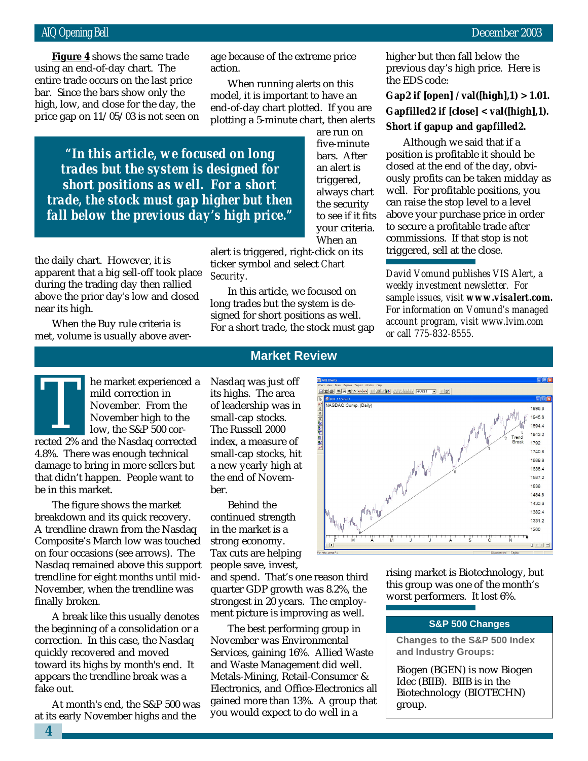bar. Since the bars show only the **Figure 4** shows the same trade using an end-of-day chart. The entire trade occurs on the last price high, low, and close for the day, the price gap on 11/05/03 is not seen on age because of the extreme price action.

When running alerts on this model, it is important to have an end-of-day chart plotted. If you are plotting a 5-minute chart, then alerts

> are run on five-minute bars. After an alert is triggered, always chart

*"In this article, we focused on long trades but the system is designed for short positions as well. For a short trade, the stock must gap higher but then fall below the previous day's high price."*

the daily chart. However, it is apparent that a big sell-off took place during the trading day then rallied above the prior day's low and closed near its high.

When the Buy rule criteria is met, volume is usually above aver-

the security to see if it fits your criteria. When an alert is triggered, right-click on its

ticker symbol and select *Chart Security*.

In this article, we focused on long trades but the system is designed for short positions as well. For a short trade, the stock must gap higher but then fall below the previous day's high price. Here is the EDS code:

### **Gap2 if [open] / val([high],1) > 1.01. Gapfilled2 if [close] < val([high],1). Short if gapup and gapfilled2.**

Although we said that if a position is profitable it should be closed at the end of the day, obviously profits can be taken midday as well. For profitable positions, you can raise the stop level to a level above your purchase price in order to secure a profitable trade after commissions. If that stop is not triggered, sell at the close.

*David Vomund publishes VIS Alert, a weekly investment newsletter. For sample issues, visit www.visalert.com. For information on Vomund's managed account program, visit www.lvim.com or call 775-832-8555.*

he market experienced a mild correction in November. From the November high to the low, the S&P 500 corrected 2% and the Nasdaq corrected<br>
The November. From the<br>
November high to the<br>
low, the S&P 500 cor-<br>
rected 2% and the Nasdaq corrected 4.8%. There was enough technical damage to bring in more sellers but that didn't happen. People want to be in this market.

The figure shows the market breakdown and its quick recovery. A trendline drawn from the Nasdaq Composite's March low was touched on four occasions (see arrows). The Nasdaq remained above this support trendline for eight months until mid-November, when the trendline was finally broken.

A break like this usually denotes the beginning of a consolidation or a correction. In this case, the Nasdaq quickly recovered and moved toward its highs by month's end. It appears the trendline break was a fake out.

At month's end, the S&P 500 was at its early November highs and the

### **Market Review**

Nasdaq was just off its highs. The area of leadership was in small-cap stocks. The Russell 2000 index, a measure of small-cap stocks, hit a new yearly high at the end of November.

Behind the continued strength in the market is a strong economy. Tax cuts are helping people save, invest,

and spend. That's one reason third quarter GDP growth was 8.2%, the strongest in 20 years. The employment picture is improving as well.

The best performing group in November was Environmental Services, gaining 16%. Allied Waste and Waste Management did well. Metals-Mining, Retail-Consumer & Electronics, and Office-Electronics all gained more than 13%. A group that you would expect to do well in a



rising market is Biotechnology, but this group was one of the month's worst performers. It lost 6%.

#### **S&P 500 Changes**

**Changes to the S&P 500 Index and Industry Groups:**

Biogen (BGEN) is now Biogen Idec (BIIB). BIIB is in the Biotechnology (BIOTECHN) group.

**4**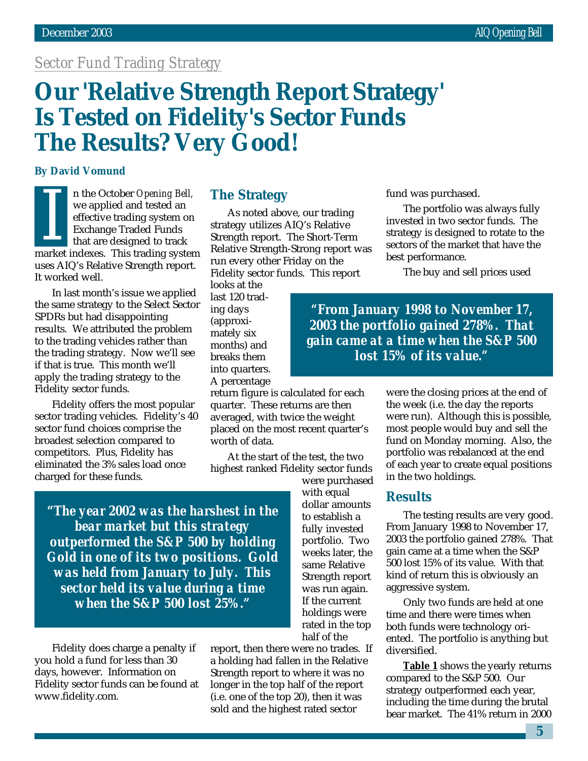## *Sector Fund Trading Strategy*

# **Our 'Relative Strength Report Strategy' Is Tested on Fidelity's Sector Funds The Results? Very Good!**

#### **By David Vomund**

n the October *Opening Bell,* we applied and tested an effective trading system on Exchange Traded Funds that are designed to track market indexes. This trading system<br>
The vertice trading system on<br>
Exchange Traded Funds<br>
that are designed to track<br>
market indexes. This trading system uses AIQ's Relative Strength report. It worked well.

In last month's issue we applied the same strategy to the Select Sector SPDRs but had disappointing results. We attributed the problem to the trading vehicles rather than the trading strategy. Now we'll see if that is true. This month we'll apply the trading strategy to the Fidelity sector funds.

Fidelity offers the most popular sector trading vehicles. Fidelity's 40 sector fund choices comprise the broadest selection compared to competitors. Plus, Fidelity has eliminated the 3% sales load once charged for these funds.

## **The Strategy**

As noted above, our trading strategy utilizes AIQ's Relative Strength report. The Short-Term Relative Strength-Strong report was run every other Friday on the Fidelity sector funds. This report

looks at the last 120 trading days (approximately six months) and breaks them into quarters. A percentage

return figure is calculated for each quarter. These returns are then averaged, with twice the weight placed on the most recent quarter's worth of data.

At the start of the test, the two highest ranked Fidelity sector funds

> were purchased with equal dollar amounts to establish a fully invested portfolio. Two weeks later, the same Relative Strength report was run again. If the current holdings were rated in the top half of the

**"***The year 2002 was the harshest in the bear market but this strategy outperformed the S&P 500 by holding Gold in one of its two positions. Gold was held from January to July. This sector held its value during a time when the S&P 500 lost 25%.***"**

Fidelity does charge a penalty if you hold a fund for less than 30 days, however. Information on Fidelity sector funds can be found at www.fidelity.com*.*

report, then there were no trades. If a holding had fallen in the Relative Strength report to where it was no longer in the top half of the report (i.e. one of the top 20), then it was sold and the highest rated sector

fund was purchased.

The portfolio was always fully invested in two sector funds. The strategy is designed to rotate to the sectors of the market that have the best performance.

The buy and sell prices used

*"From January 1998 to November 17, 2003 the portfolio gained 278%. That gain came at a time when the S&P 500 lost 15% of its value."*

> were the closing prices at the end of the week (i.e. the day the reports were run). Although this is possible, most people would buy and sell the fund on Monday morning. Also, the portfolio was rebalanced at the end of each year to create equal positions in the two holdings.

#### **Results**

The testing results are very good. From January 1998 to November 17, 2003 the portfolio gained 278%. That gain came at a time when the S&P 500 lost 15% of its value. With that kind of return this is obviously an aggressive system.

Only two funds are held at one time and there were times when both funds were technology oriented. The portfolio is anything but diversified.

**Table 1** shows the yearly returns compared to the S&P 500. Our strategy outperformed each year, including the time during the brutal bear market. The 41% return in 2000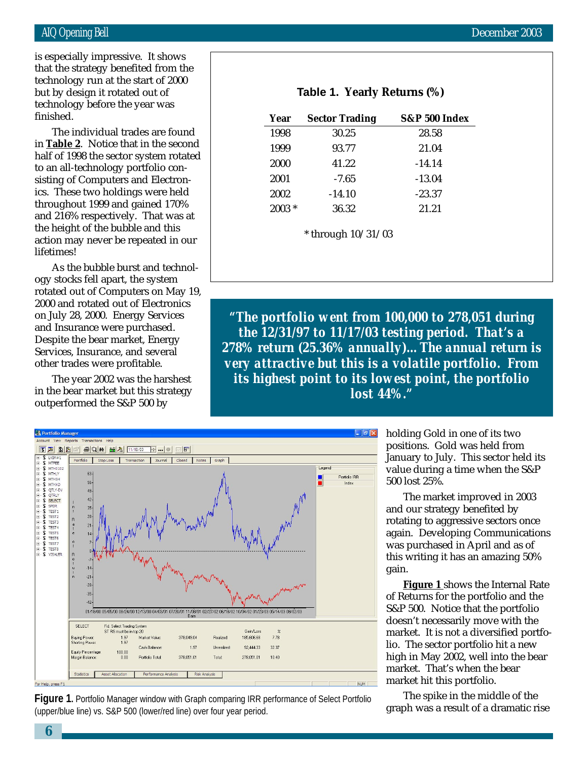but by design it rotated out of is especially impressive. It shows that the strategy benefited from the technology run at the start of 2000 technology before the year was finished.

The individual trades are found in **Table 2**. Notice that in the second half of 1998 the sector system rotated to an all-technology portfolio consisting of Computers and Electronics. These two holdings were held throughout 1999 and gained 170% and 216% respectively. That was at the height of the bubble and this action may never be repeated in our lifetimes!

As the bubble burst and technology stocks fell apart, the system rotated out of Computers on May 19, 2000 and rotated out of Electronics on July 28, 2000. Energy Services and Insurance were purchased. Despite the bear market, Energy Services, Insurance, and several other trades were profitable.

The year 2002 was the harshest in the bear market but this strategy outperformed the S&P 500 by

| Year     | <b>Sector Trading</b> | S&P 500 Index |
|----------|-----------------------|---------------|
| 1998     | 30.25                 | 28.58         |
| 1999     | 93.77                 | 21.04         |
| 2000     | 41.22                 | $-14.14$      |
| 2001     | $-7.65$               | $-13.04$      |
| 2002     | $-14.10$              | $-23.37$      |
| $2003 *$ | 36.32                 | 21.21         |

**Table 1. Yearly Returns (%)**

*"The portfolio went from 100,000 to 278,051 during the 12/31/97 to 11/17/03 testing period. That's a 278% return (25.36% annually)…The annual return is very attractive but this is a volatile portfolio. From its highest point to its lowest point, the portfolio lost 44%."*



**Figure 1.** Portfolio Manager window with Graph comparing IRR performance of Select Portfolio (upper/blue line) vs. S&P 500 (lower/red line) over four year period.

holding Gold in one of its two positions. Gold was held from January to July. This sector held its value during a time when the S&P 500 lost 25%.

The market improved in 2003 and our strategy benefited by rotating to aggressive sectors once again. Developing Communications was purchased in April and as of this writing it has an amazing 50% gain.

**Figure 1** shows the Internal Rate of Returns for the portfolio and the S&P 500. Notice that the portfolio doesn't necessarily move with the market. It is not a diversified portfolio. The sector portfolio hit a new high in May 2002, well into the bear market. That's when the bear market hit this portfolio.

The spike in the middle of the graph was a result of a dramatic rise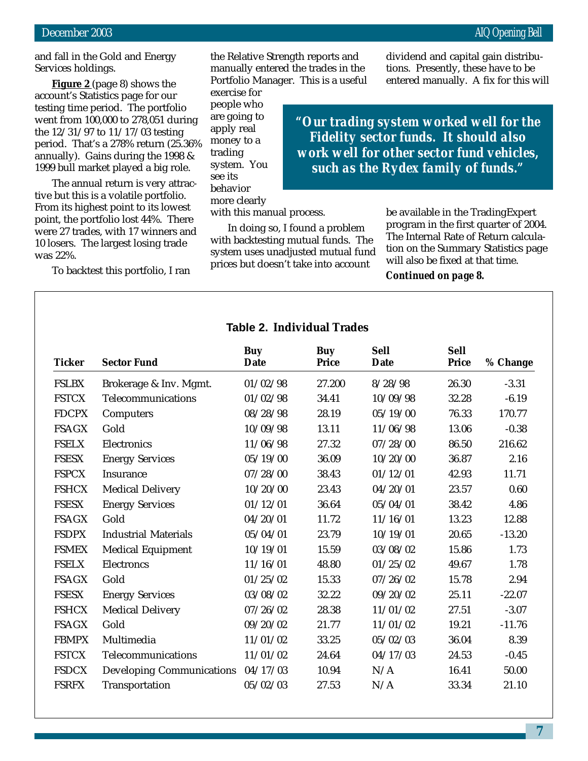and fall in the Gold and Energy Services holdings.

**Figure 2** (page 8) shows the account's Statistics page for our testing time period. The portfolio went from 100,000 to 278,051 during the 12/31/97 to 11/17/03 testing period. That's a 278% return (25.36% annually). Gains during the 1998 & 1999 bull market played a big role.

The annual return is very attractive but this is a volatile portfolio. From its highest point to its lowest point, the portfolio lost 44%. There were 27 trades, with 17 winners and 10 losers. The largest losing trade was 22%.

To backtest this portfolio, I ran

the Relative Strength reports and manually entered the trades in the Portfolio Manager. This is a useful

exercise for people who are going to apply real money to a trading system. You see its behavior more clearly

with this manual process.

In doing so, I found a problem with backtesting mutual funds. The system uses unadjusted mutual fund prices but doesn't take into account

dividend and capital gain distributions. Presently, these have to be entered manually. A fix for this will

*"Our trading system worked well for the Fidelity sector funds. It should also work well for other sector fund vehicles, such as the Rydex family of funds."*

> be available in the TradingExpert program in the first quarter of 2004. The Internal Rate of Return calculation on the Summary Statistics page will also be fixed at that time.

#### *Continued on page 8.*

| <b>Table 2. Individual Trades</b> |  |
|-----------------------------------|--|
|-----------------------------------|--|

| <b>Ticker</b> | <b>Sector Fund</b>               | <b>Buy</b><br>Date | Buy<br><b>Price</b> | <b>Sell</b><br><b>Date</b> | <b>Sell</b><br><b>Price</b> | % Change |
|---------------|----------------------------------|--------------------|---------------------|----------------------------|-----------------------------|----------|
| <b>FSLBX</b>  | Brokerage & Inv. Mgmt.           | 01/02/98           | 27.200              | 8/28/98                    | 26.30                       | $-3.31$  |
| <b>FSTCX</b>  | Telecommunications               | 01/02/98           | 34.41               | 10/09/98                   | 32.28                       | $-6.19$  |
| <b>FDCPX</b>  | Computers                        | 08/28/98           | 28.19               | 05/19/00                   | 76.33                       | 170.77   |
| <b>FSAGX</b>  | Gold                             | 10/09/98           | 13.11               | 11/06/98                   | 13.06                       | $-0.38$  |
| <b>FSELX</b>  | Electronics                      | 11/06/98           | 27.32               | 07/28/00                   | 86.50                       | 216.62   |
| <b>FSESX</b>  | <b>Energy Services</b>           | 05/19/00           | 36.09               | 10/20/00                   | 36.87                       | 2.16     |
| <b>FSPCX</b>  | Insurance                        | 07/28/00           | 38.43               | 01/12/01                   | 42.93                       | 11.71    |
| <b>FSHCX</b>  | <b>Medical Delivery</b>          | 10/20/00           | 23.43               | 04/20/01                   | 23.57                       | 0.60     |
| <b>FSESX</b>  | <b>Energy Services</b>           | 01/12/01           | 36.64               | 05/04/01                   | 38.42                       | 4.86     |
| <b>FSAGX</b>  | Gold                             | 04/20/01           | 11.72               | 11/16/01                   | 13.23                       | 12.88    |
| <b>FSDPX</b>  | <b>Industrial Materials</b>      | 05/04/01           | 23.79               | 10/19/01                   | 20.65                       | $-13.20$ |
| <b>FSMEX</b>  | <b>Medical Equipment</b>         | 10/19/01           | 15.59               | 03/08/02                   | 15.86                       | 1.73     |
| <b>FSELX</b>  | Electroncs                       | 11/16/01           | 48.80               | 01/25/02                   | 49.67                       | 1.78     |
| <b>FSAGX</b>  | Gold                             | 01/25/02           | 15.33               | 07/26/02                   | 15.78                       | 2.94     |
| <b>FSESX</b>  | <b>Energy Services</b>           | 03/08/02           | 32.22               | 09/20/02                   | 25.11                       | $-22.07$ |
| <b>FSHCX</b>  | <b>Medical Delivery</b>          | 07/26/02           | 28.38               | 11/01/02                   | 27.51                       | $-3.07$  |
| <b>FSAGX</b>  | Gold                             | 09/20/02           | 21.77               | 11/01/02                   | 19.21                       | $-11.76$ |
| <b>FBMPX</b>  | Multimedia                       | 11/01/02           | 33.25               | 05/02/03                   | 36.04                       | 8.39     |
| <b>FSTCX</b>  | Telecommunications               | 11/01/02           | 24.64               | 04/17/03                   | 24.53                       | $-0.45$  |
| <b>FSDCX</b>  | <b>Developing Communications</b> | 04/17/03           | 10.94               | N/A                        | 16.41                       | 50.00    |
| <b>FSRFX</b>  | Transportation                   | 05/02/03           | 27.53               | N/A                        | 33.34                       | 21.10    |